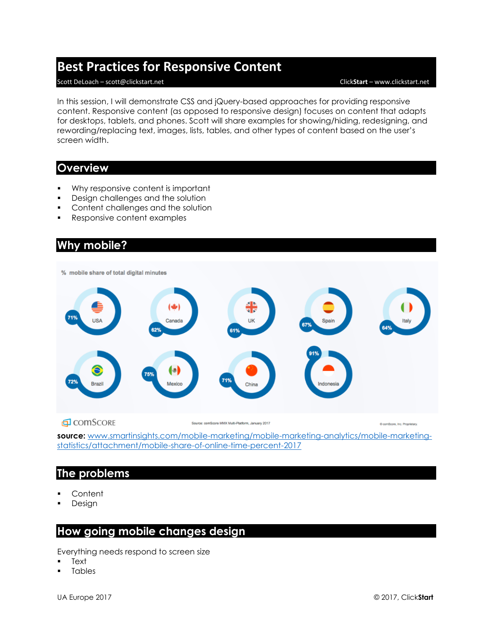# **Best Practices for Responsive Content**

#### Scott DeLoach – scott@clickstart.net Click**Start** – www.clickstart.net

In this session, I will demonstrate CSS and jQuery-based approaches for providing responsive content. Responsive content (as opposed to responsive design) focuses on content that adapts for desktops, tablets, and phones. Scott will share examples for showing/hiding, redesigning, and rewording/replacing text, images, lists, tables, and other types of content based on the user's screen width.

## **Overview**

- Why responsive content is important
- **•** Design challenges and the solution
- Content challenges and the solution
- Responsive content examples

# **Why mobile?**



**EL** COMSCORE

Source: comScore MMX Multi-Platform, January 2017

ComScore, Inc. Proprietary

**source:** [www.smartinsights.com/mobile-marketing/mobile-marketing-analytics/mobile-marketing](http://www.smartinsights.com/mobile-marketing/mobile-marketing-analytics/mobile-marketing-statistics/attachment/mobile-share-of-online-time-percent-2017)[statistics/attachment/mobile-share-of-online-time-percent-2017](http://www.smartinsights.com/mobile-marketing/mobile-marketing-analytics/mobile-marketing-statistics/attachment/mobile-share-of-online-time-percent-2017)

# **The problems**

- **Content**
- Design

# **How going mobile changes design**

Everything needs respond to screen size

- **Text**
- **Tables**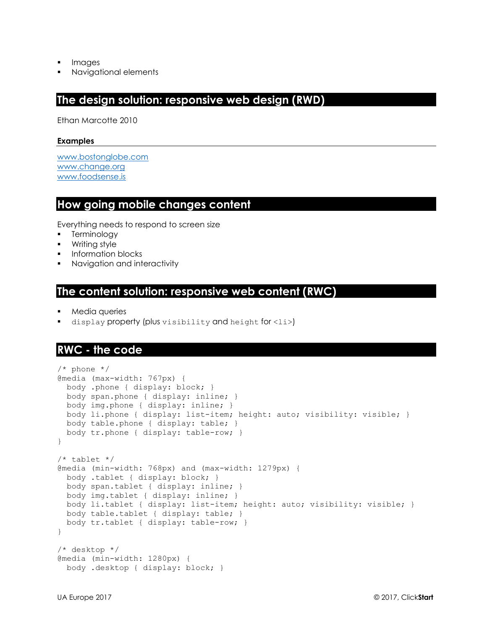- **Images**
- Navigational elements

# **The design solution: responsive web design (RWD)**

Ethan Marcotte 2010

#### **Examples**

[www.bostonglobe.com](http://www.bostonglobe.com/) [www.change.org](http://www.change.org/) [www.foodsense.is](http://www.foodsense.is/)

# **How going mobile changes content**

Everything needs to respond to screen size

- Terminology
- Writing style
- **•** Information blocks
- Navigation and interactivity

#### **The content solution: responsive web content (RWC)**

- Media queries
- display property (plus visibility and height for <li>)

## **RWC - the code**

```
/* phone */
@media (max-width: 767px) {
  body .phone { display: block; }
  body span.phone { display: inline; }
  body img.phone { display: inline; }
  body li.phone { display: list-item; height: auto; visibility: visible; }
  body table.phone { display: table; }
  body tr.phone { display: table-row; }
}
/* tablet */@media (min-width: 768px) and (max-width: 1279px) {
  body .tablet { display: block; }
  body span.tablet { display: inline; }
  body img.tablet { display: inline; }
  body li.tablet { display: list-item; height: auto; visibility: visible; }
  body table.tablet { display: table; }
  body tr.tablet { display: table-row; }
}
/* desktop */
@media (min-width: 1280px) {
  body .desktop { display: block; }
```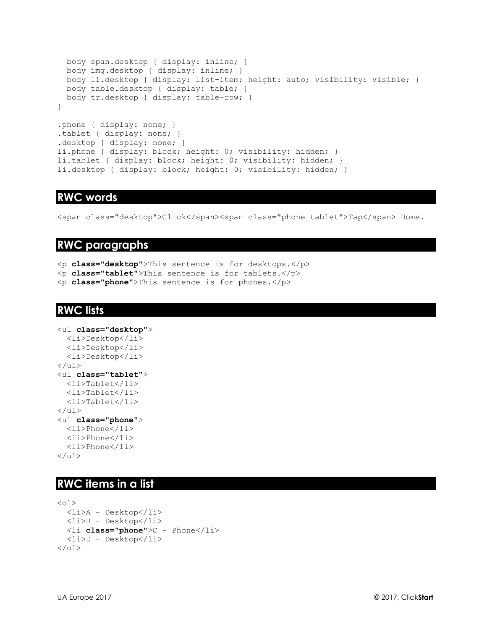```
 body span.desktop { display: inline; }
  body img.desktop { display: inline; }
  body li.desktop { display: list-item; height: auto; visibility: visible; }
  body table.desktop { display: table; }
   body tr.desktop { display: table-row; }
}
.phone { display: none; }
.tablet { display: none; }
.desktop { display: none; }
li.phone { display: block; height: 0; visibility: hidden; }
li.tablet { display: block; height: 0; visibility: hidden; }
li.desktop { display: block; height: 0; visibility: hidden; }
```
### **RWC words**

<span class="desktop">Click</span><span class="phone tablet">Tap</span> Home.

#### **RWC paragraphs**

<p **class="desktop"**>This sentence is for desktops.</p>

<p **class="tablet"**>This sentence is for tablets.</p>

<p **class="phone"**>This sentence is for phones.</p>

### **RWC lists**

```
<ul class="desktop">
   <li>Desktop</li>
   <li>Desktop</li>
   <li>Desktop</li>
\langle/ul>
<ul class="tablet">
   <li>Tablet</li>
   <li>Tablet</li>
   <li>Tablet</li>
\langle/ul>
<ul class="phone">
   <li>Phone</li>
   <li>Phone</li>
   <li>Phone</li>
\langle/ul>
```
#### **RWC items in a list**

```
\langle 01>
   <li>A - Desktop</li>
   <li>B - Desktop</li>
   <li class="phone">C - Phone</li>
   <li>D - Desktop</li>
\langle/ol>
```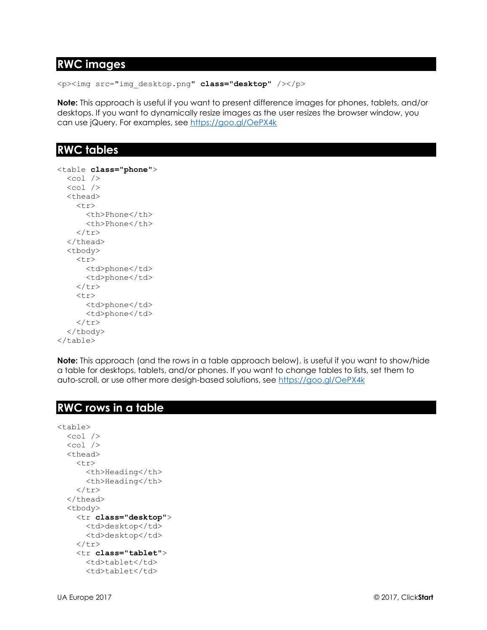# **RWC images**

<p><img src="img\_desktop.png" **class="desktop"** /></p>

**Note:** This approach is useful if you want to present difference images for phones, tablets, and/or desktops. If you want to dynamically resize images as the user resizes the browser window, you can use jQuery. For examples, see<https://goo.gl/OePX4k>

# **RWC tables**

```
<table class="phone">
  <col /<col / <thead>
     <tr>
       <th>Phone</th>
       <th>Phone</th>
    \langletr>
  </thead>
   <tbody>
     <tr>
        <td>phone</td>
       <td>phone</td>
    \langle/tr>
     <tr>
       <td>phone</td>
       <td>phone</td>
    \langletr>
   </tbody>
</table>
```
**Note:** This approach (and the rows in a table approach below), is useful if you want to show/hide a table for desktops, tablets, and/or phones. If you want to change tables to lists, set them to auto-scroll, or use other more desigh-based solutions, see<https://goo.gl/OePX4k>

# **RWC rows in a table**

```
<table>
  <col /<col /<thead>
    <tr>
       <th>Heading</th>
       <th>Heading</th>
    \langle/tr>
   </thead>
   <tbody>
     <tr class="desktop">
       <td>desktop</td>
       <td>desktop</td>
    \langle/tr>
     <tr class="tablet">
       <td>tablet</td>
      <td>tablet</td>
```